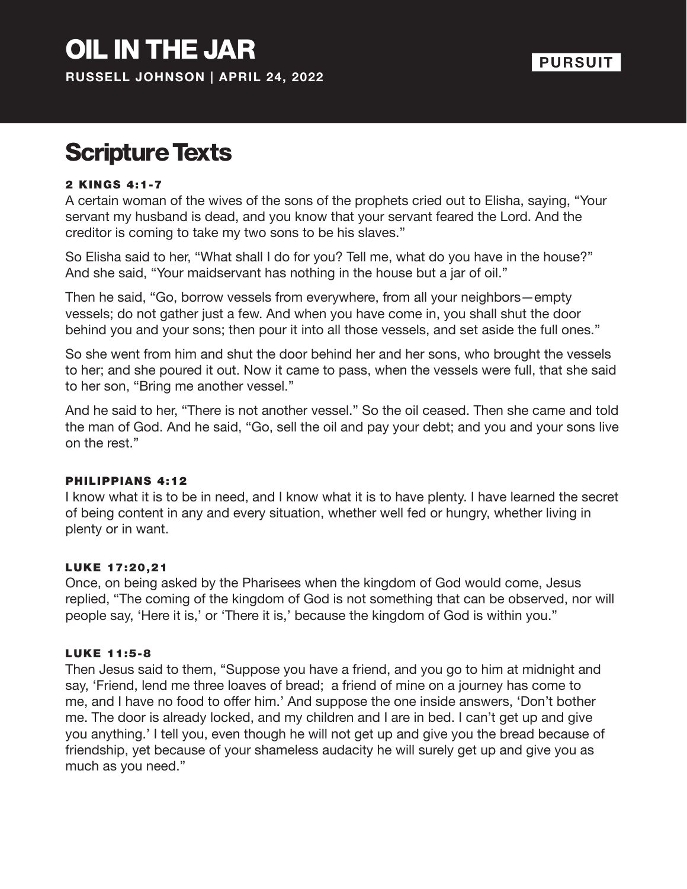# Scripture Texts

### 2 KINGS 4:1-7

A certain woman of the wives of the sons of the prophets cried out to Elisha, saying, "Your servant my husband is dead, and you know that your servant feared the Lord. And the creditor is coming to take my two sons to be his slaves."

So Elisha said to her, "What shall I do for you? Tell me, what do you have in the house?" And she said, "Your maidservant has nothing in the house but a jar of oil."

Then he said, "Go, borrow vessels from everywhere, from all your neighbors—empty vessels; do not gather just a few. And when you have come in, you shall shut the door behind you and your sons; then pour it into all those vessels, and set aside the full ones."

So she went from him and shut the door behind her and her sons, who brought the vessels to her; and she poured it out. Now it came to pass, when the vessels were full, that she said to her son, "Bring me another vessel."

And he said to her, "There is not another vessel." So the oil ceased. Then she came and told the man of God. And he said, "Go, sell the oil and pay your debt; and you and your sons live on the rest."

#### PHILIPPIANS 4:12

I know what it is to be in need, and I know what it is to have plenty. I have learned the secret of being content in any and every situation, whether well fed or hungry, whether living in plenty or in want.

#### LUKE 17:20,21

Once, on being asked by the Pharisees when the kingdom of God would come, Jesus replied, "The coming of the kingdom of God is not something that can be observed, nor will people say, 'Here it is,' or 'There it is,' because the kingdom of God is within you."

#### LUKE 11:5-8

Then Jesus said to them, "Suppose you have a friend, and you go to him at midnight and say, 'Friend, lend me three loaves of bread; a friend of mine on a journey has come to me, and I have no food to offer him.' And suppose the one inside answers, 'Don't bother me. The door is already locked, and my children and I are in bed. I can't get up and give you anything.' I tell you, even though he will not get up and give you the bread because of friendship, yet because of your shameless audacity he will surely get up and give you as much as you need."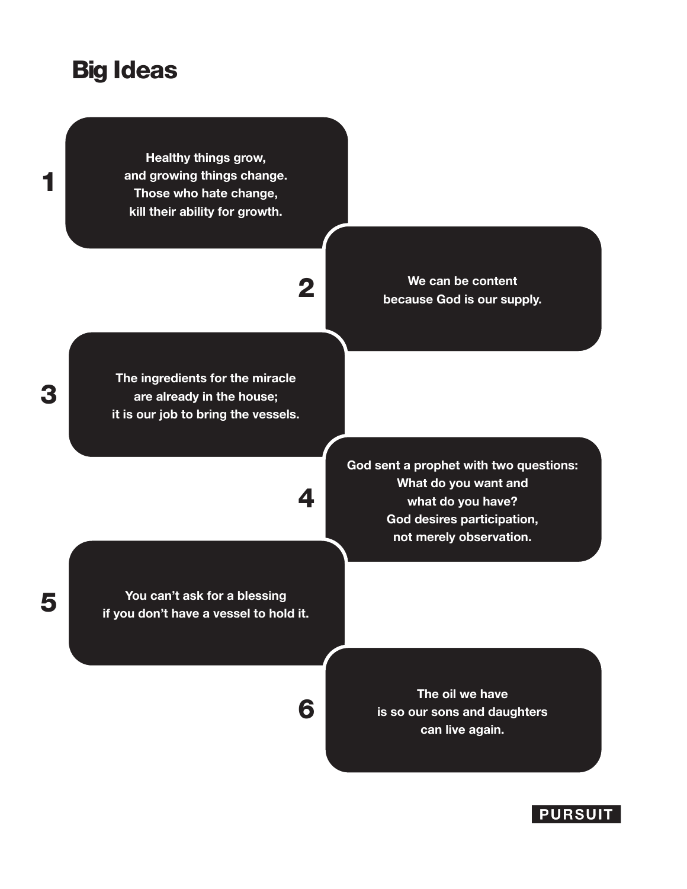## Big Ideas

**Healthy things grow, and growing things change. Those who hate change, kill their ability for growth.**

2

**The ingredients for the miracle are already in the house; it is our job to bring the vessels.**

4

6

**We can be content because God is our supply.** 

**God sent a prophet with two questions: What do you want and what do you have? God desires participation, not merely observation.** 

**You can't ask for a blessing** 5 **if you don't have a vessel to hold it.**

**The oil we have is so our sons and daughters can live again.**

### **PURSUIT**

3

1